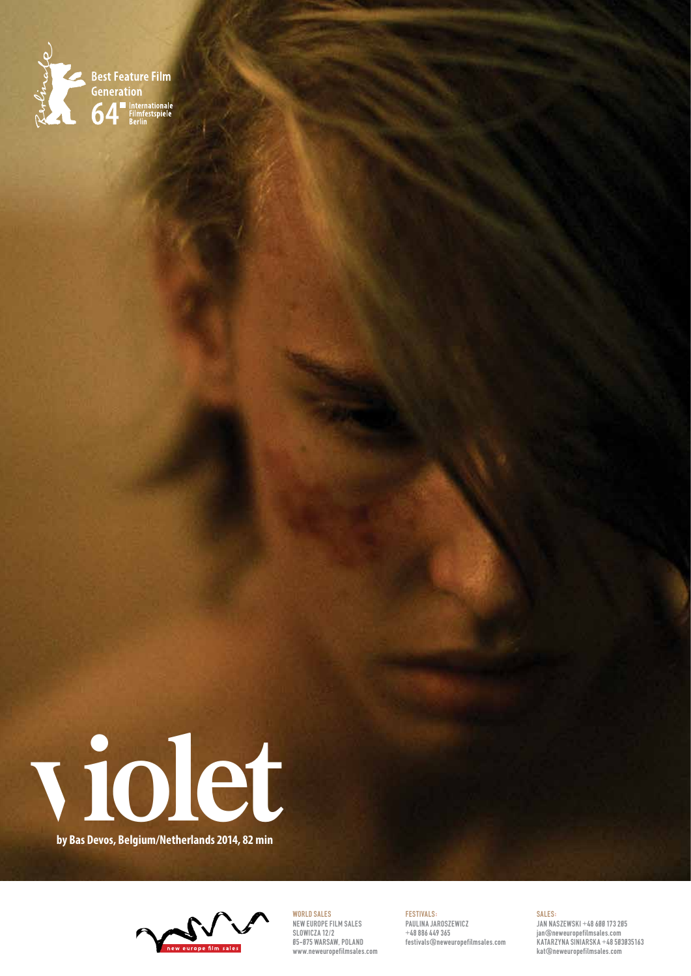



**by Bas Devos, Belgium/Netherlands 2014, 82 min**



World Sales NEW EUROPE FILM SALES SLOWICZA 12/2 05-075 WARSAW, POLAND www.neweuropefilmsales.com

FESTIVALS: Paulina Jaroszewicz +48 886 449 365 festivals@neweuropefilmsales.com

#### SALES: JAN NASZEWSKI +48 600 173 205 jan@neweuropefilmsales.com KATARZYNA SINIARSKA +48 503035163 kat@neweuropefilmsales.com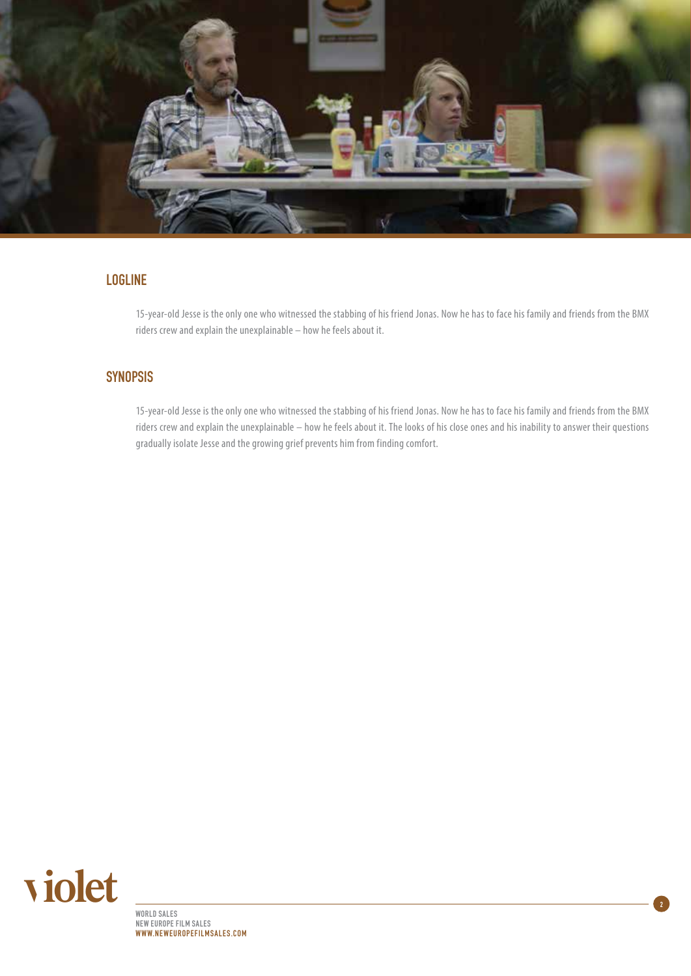

## LOGLINE

15-year-old Jesse is the only one who witnessed the stabbing of his friend Jonas. Now he has to face his family and friends from the BMX riders crew and explain the unexplainable – how he feels about it.

# **SYNOPSIS**

15-year-old Jesse is the only one who witnessed the stabbing of his friend Jonas. Now he has to face his family and friends from the BMX riders crew and explain the unexplainable – how he feels about it. The looks of his close ones and his inability to answer their questions gradually isolate Jesse and the growing grief prevents him from finding comfort.

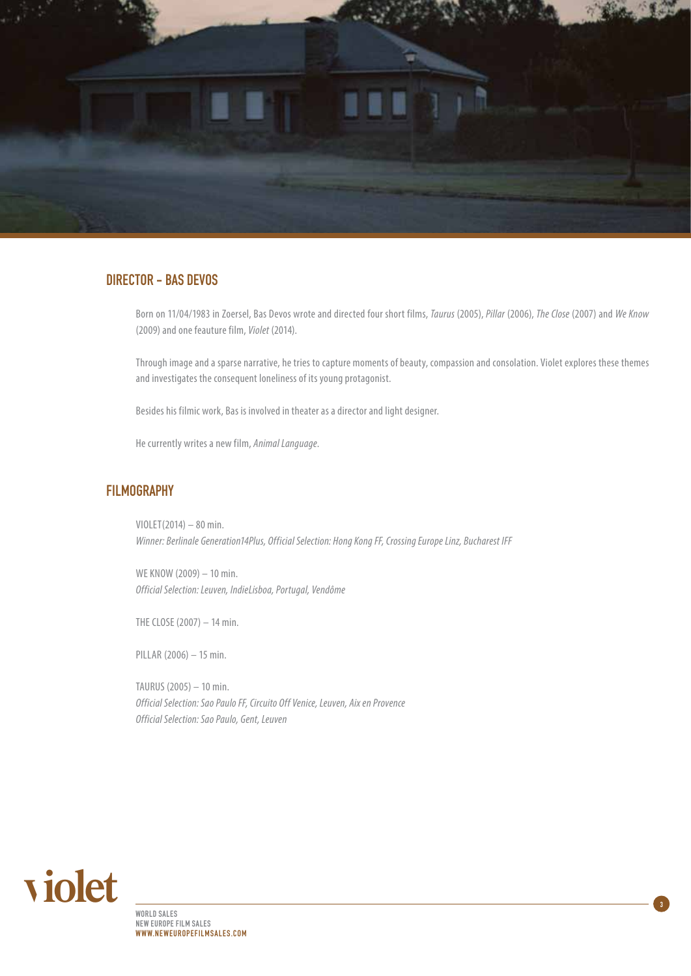

#### DIRECTOR - Bas Devos

Born on 11/04/1983 in Zoersel, Bas Devos wrote and directed four short films, *Taurus* (2005), *Pillar* (2006), *The Close* (2007) and *We Know* (2009) and one feauture film, *Violet* (2014).

Through image and a sparse narrative, he tries to capture moments of beauty, compassion and consolation. Violet explores these themes and investigates the consequent loneliness of its young protagonist.

Besides his filmic work, Bas is involved in theater as a director and light designer.

He currently writes a new film, *Animal Language*.

## **FILMOGRAPHY**

VIOLET(2014) – 80 min. *Winner: Berlinale Generation14Plus, Official Selection: Hong Kong FF, Crossing Europe Linz, Bucharest IFF*

WE KNOW (2009) – 10 min. *Official Selection: Leuven, IndieLisboa, Portugal, Vendôme*

THE CLOSE (2007) – 14 min.

PILLAR (2006) – 15 min.

TAURUS (2005) – 10 min. *Official Selection: Sao Paulo FF, Circuito Off Venice, Leuven, Aix en Provence Official Selection: Sao Paulo, Gent, Leuven*

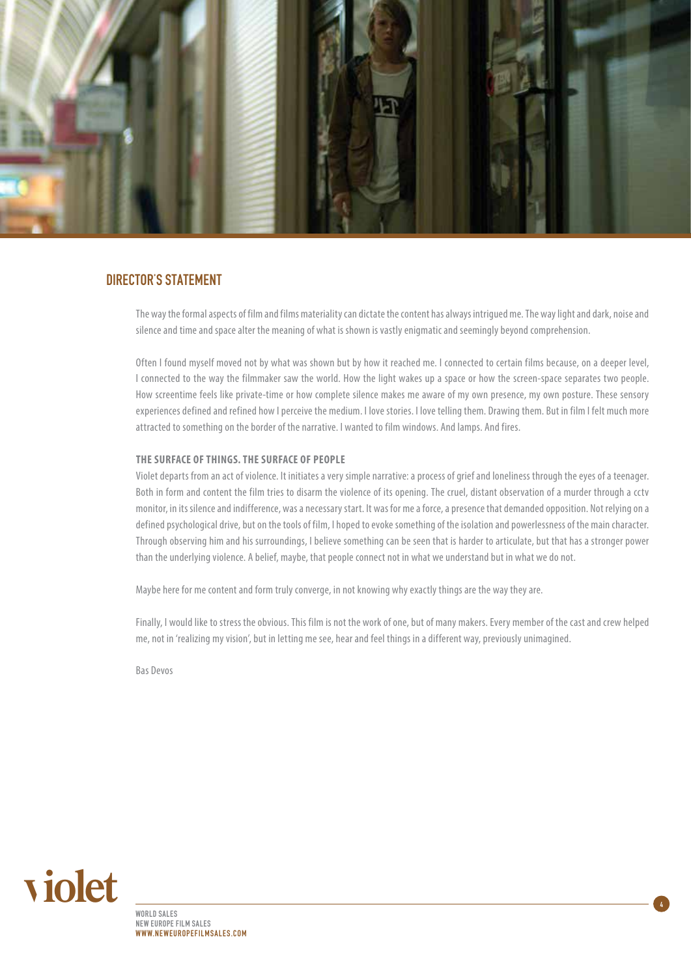

#### DIRECTOR'S STATEMENT

The way the formal aspects of film and films materiality can dictate the content has always intrigued me. The way light and dark, noise and silence and time and space alter the meaning of what is shown is vastly enigmatic and seemingly beyond comprehension.

Often I found myself moved not by what was shown but by how it reached me. I connected to certain films because, on a deeper level, I connected to the way the filmmaker saw the world. How the light wakes up a space or how the screen-space separates two people. How screentime feels like private-time or how complete silence makes me aware of my own presence, my own posture. These sensory experiences defined and refined how I perceive the medium. I love stories. I love telling them. Drawing them. But in film I felt much more attracted to something on the border of the narrative. I wanted to film windows. And lamps. And fires.

#### **The surface of things. The surface of people**

Violet departs from an act of violence. It initiates a very simple narrative: a process of grief and loneliness through the eyes of a teenager. Both in form and content the film tries to disarm the violence of its opening. The cruel, distant observation of a murder through a cctv monitor, in its silence and indifference, was a necessary start. It was for me a force, a presence that demanded opposition. Not relying on a defined psychological drive, but on the tools of film, I hoped to evoke something of the isolation and powerlessness of the main character. Through observing him and his surroundings, I believe something can be seen that is harder to articulate, but that has a stronger power than the underlying violence. A belief, maybe, that people connect not in what we understand but in what we do not.

Maybe here for me content and form truly converge, in not knowing why exactly things are the way they are.

Finally, I would like to stress the obvious. This film is not the work of one, but of many makers. Every member of the cast and crew helped me, not in 'realizing my vision', but in letting me see, hear and feel things in a different way, previously unimagined.

Bas Devos

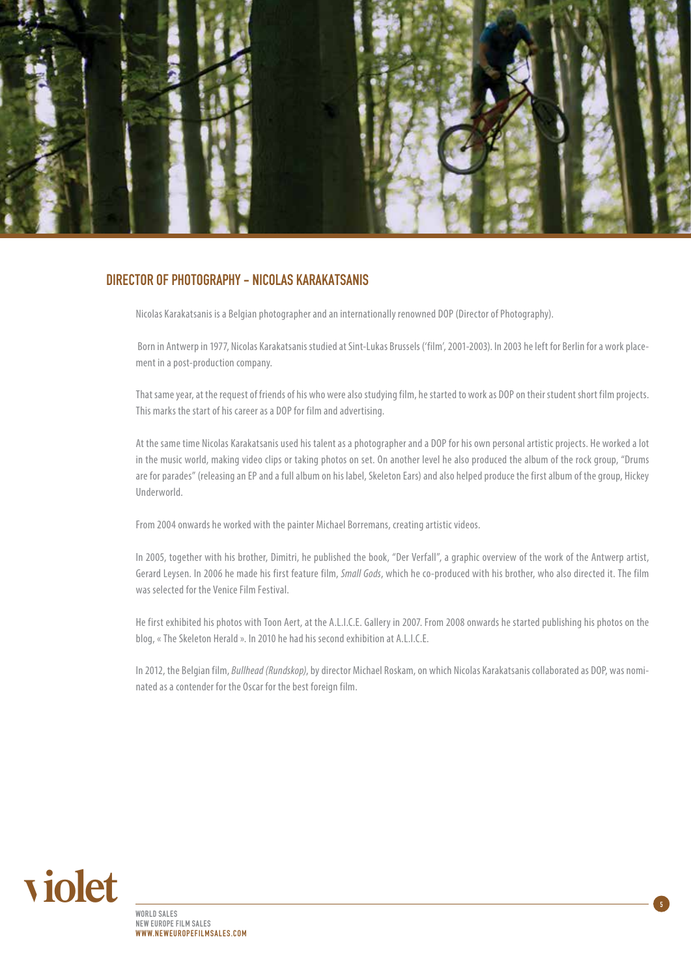

#### Director of Photography - Nicolas Karakatsanis

Nicolas Karakatsanis is a Belgian photographer and an internationally renowned DOP (Director of Photography).

 Born in Antwerp in 1977, Nicolas Karakatsanis studied at Sint-Lukas Brussels ('film', 2001-2003). In 2003 he left for Berlin for a work placement in a post-production company.

That same year, at the request of friends of his who were also studying film, he started to work as DOP on their student short film projects. This marks the start of his career as a DOP for film and advertising.

At the same time Nicolas Karakatsanis used his talent as a photographer and a DOP for his own personal artistic projects. He worked a lot in the music world, making video clips or taking photos on set. On another level he also produced the album of the rock group, "Drums are for parades" (releasing an EP and a full album on his label, Skeleton Ears) and also helped produce the first album of the group, Hickey Underworld.

From 2004 onwards he worked with the painter Michael Borremans, creating artistic videos.

In 2005, together with his brother, Dimitri, he published the book, "Der Verfall", a graphic overview of the work of the Antwerp artist, Gerard Leysen. In 2006 he made his first feature film, *Small Gods*, which he co-produced with his brother, who also directed it. The film was selected for the Venice Film Festival.

He first exhibited his photos with Toon Aert, at the A.L.I.C.E. Gallery in 2007. From 2008 onwards he started publishing his photos on the blog, « The Skeleton Herald ». In 2010 he had his second exhibition at A.L.I.C.E.

In 2012, the Belgian film, *Bullhead (Rundskop)*, by director Michael Roskam, on which Nicolas Karakatsanis collaborated as DOP, was nominated as a contender for the Oscar for the best foreign film.

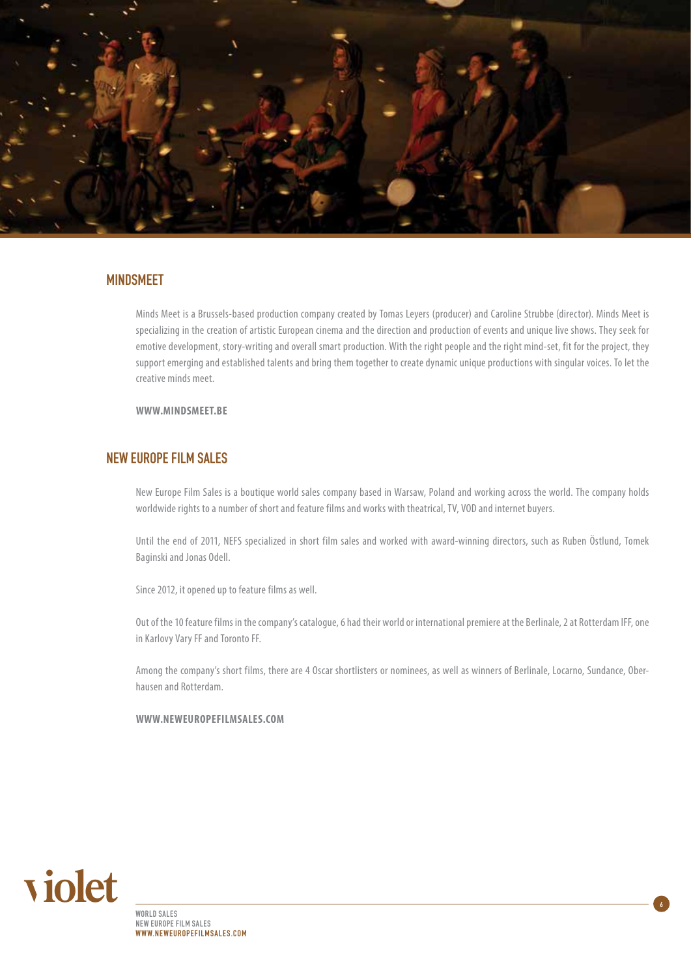

#### MINDSMEET

Minds Meet is a Brussels-based production company created by Tomas Leyers (producer) and Caroline Strubbe (director). Minds Meet is specializing in the creation of artistic European cinema and the direction and production of events and unique live shows. They seek for emotive development, story-writing and overall smart production. With the right people and the right mind-set, fit for the project, they support emerging and established talents and bring them together to create dynamic unique productions with singular voices. To let the creative minds meet.

**www.mindsmeet.be**

#### New Europe Film Sales

New Europe Film Sales is a boutique world sales company based in Warsaw, Poland and working across the world. The company holds worldwide rights to a number of short and feature films and works with theatrical, TV, VOD and internet buyers.

Until the end of 2011, NEFS specialized in short film sales and worked with award-winning directors, such as Ruben Östlund, Tomek Baginski and Jonas Odell.

Since 2012, it opened up to feature films as well.

Out of the 10 feature films in the company's catalogue, 6 had their world or international premiere at the Berlinale, 2 at Rotterdam IFF, one in Karlovy Vary FF and Toronto FF.

Among the company's short films, there are 4 Oscar shortlisters or nominees, as well as winners of Berlinale, Locarno, Sundance, Oberhausen and Rotterdam.

**www.neweuropefilmsales.com**

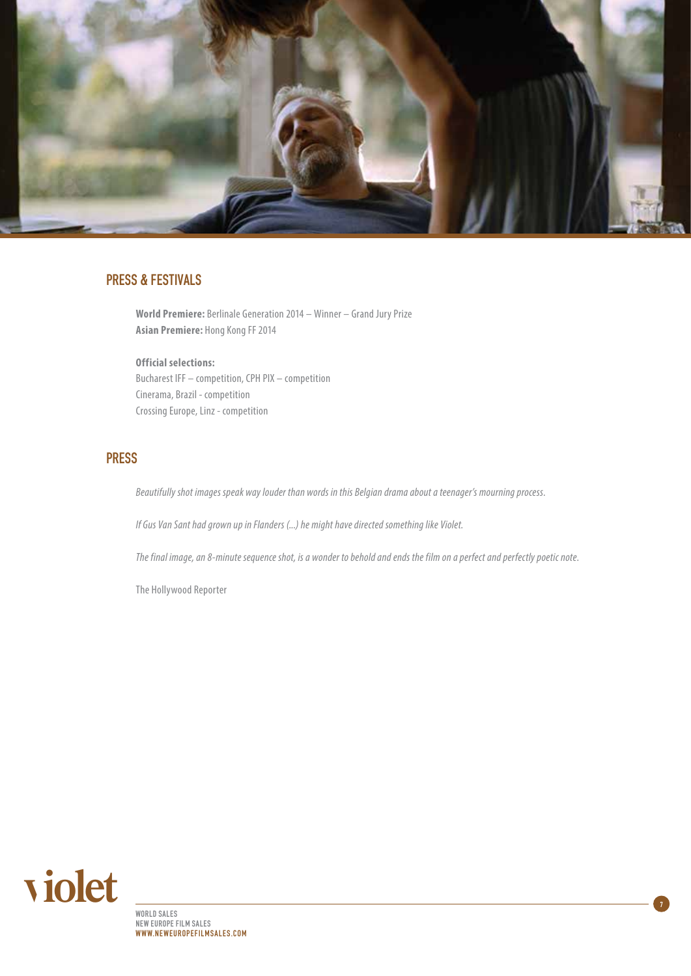

## PRESS & FESTIVALS

**World Premiere:** Berlinale Generation 2014 – Winner – Grand Jury Prize **Asian Premiere:** Hong Kong FF 2014

**Official selections:**  Bucharest IFF – competition, CPH PIX – competition Cinerama, Brazil - competition Crossing Europe, Linz - competition

#### **PRESS**

*Beautifully shot images speak way louder than words in this Belgian drama about a teenager's mourning process*.

*If Gus Van Sant had grown up in Flanders (...) he might have directed something like Violet.*

*The final image, an 8-minute sequence shot, is a wonder to behold and ends the film on a perfect and perfectly poetic note*.

The Hollywood Reporter